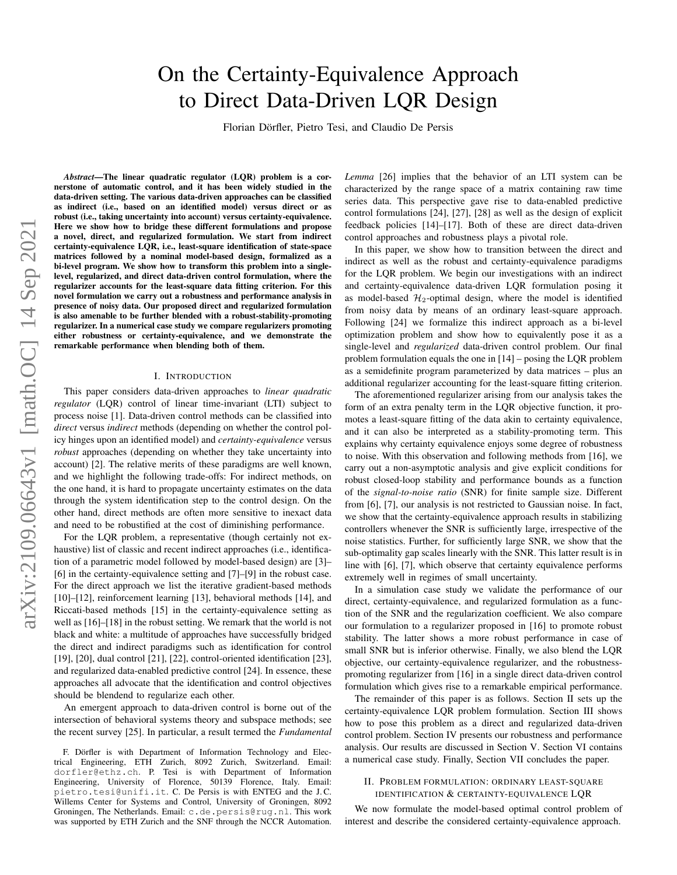# On the Certainty-Equivalence Approach to Direct Data-Driven LQR Design

Florian Dörfler, Pietro Tesi, and Claudio De Persis

*Abstract*—The linear quadratic regulator (LQR) problem is a cornerstone of automatic control, and it has been widely studied in the data-driven setting. The various data-driven approaches can be classified as indirect (i.e., based on an identified model) versus direct or as robust (i.e., taking uncertainty into account) versus certainty-equivalence. Here we show how to bridge these different formulations and propose a novel, direct, and regularized formulation. We start from indirect certainty-equivalence LQR, i.e., least-square identification of state-space matrices followed by a nominal model-based design, formalized as a bi-level program. We show how to transform this problem into a singlelevel, regularized, and direct data-driven control formulation, where the regularizer accounts for the least-square data fitting criterion. For this novel formulation we carry out a robustness and performance analysis in presence of noisy data. Our proposed direct and regularized formulation is also amenable to be further blended with a robust-stability-promoting regularizer. In a numerical case study we compare regularizers promoting either robustness or certainty-equivalence, and we demonstrate the remarkable performance when blending both of them.

#### I. INTRODUCTION

This paper considers data-driven approaches to *linear quadratic regulator* (LQR) control of linear time-invariant (LTI) subject to process noise [\[1\]](#page-7-0). Data-driven control methods can be classified into *direct* versus *indirect* methods (depending on whether the control policy hinges upon an identified model) and *certainty-equivalence* versus *robust* approaches (depending on whether they take uncertainty into account) [\[2\]](#page-7-1). The relative merits of these paradigms are well known, and we highlight the following trade-offs: For indirect methods, on the one hand, it is hard to propagate uncertainty estimates on the data through the system identification step to the control design. On the other hand, direct methods are often more sensitive to inexact data and need to be robustified at the cost of diminishing performance.

For the LQR problem, a representative (though certainly not exhaustive) list of classic and recent indirect approaches (i.e., identification of a parametric model followed by model-based design) are [\[3\]](#page-7-2)– [\[6\]](#page-7-3) in the certainty-equivalence setting and [\[7\]](#page-7-4)–[\[9\]](#page-7-5) in the robust case. For the direct approach we list the iterative gradient-based methods [\[10\]](#page-7-6)–[\[12\]](#page-7-7), reinforcement learning [\[13\]](#page-7-8), behavioral methods [\[14\]](#page-7-9), and Riccati-based methods [\[15\]](#page-7-10) in the certainty-equivalence setting as well as [\[16\]](#page-7-11)–[\[18\]](#page-7-12) in the robust setting. We remark that the world is not black and white: a multitude of approaches have successfully bridged the direct and indirect paradigms such as identification for control [\[19\]](#page-7-13), [\[20\]](#page-7-14), dual control [\[21\]](#page-7-15), [\[22\]](#page-7-16), control-oriented identification [\[23\]](#page-7-17), and regularized data-enabled predictive control [\[24\]](#page-7-18). In essence, these approaches all advocate that the identification and control objectives should be blendend to regularize each other.

An emergent approach to data-driven control is borne out of the intersection of behavioral systems theory and subspace methods; see the recent survey [\[25\]](#page-7-19). In particular, a result termed the *Fundamental* *Lemma* [\[26\]](#page-7-20) implies that the behavior of an LTI system can be characterized by the range space of a matrix containing raw time series data. This perspective gave rise to data-enabled predictive control formulations [\[24\]](#page-7-18), [\[27\]](#page-7-21), [\[28\]](#page-7-22) as well as the design of explicit feedback policies [\[14\]](#page-7-9)–[\[17\]](#page-7-23). Both of these are direct data-driven control approaches and robustness plays a pivotal role.

In this paper, we show how to transition between the direct and indirect as well as the robust and certainty-equivalence paradigms for the LQR problem. We begin our investigations with an indirect and certainty-equivalence data-driven LQR formulation posing it as model-based  $H_2$ -optimal design, where the model is identified from noisy data by means of an ordinary least-square approach. Following [\[24\]](#page-7-18) we formalize this indirect approach as a bi-level optimization problem and show how to equivalently pose it as a single-level and *regularized* data-driven control problem. Our final problem formulation equals the one in [\[14\]](#page-7-9) – posing the LQR problem as a semidefinite program parameterized by data matrices – plus an additional regularizer accounting for the least-square fitting criterion.

The aforementioned regularizer arising from our analysis takes the form of an extra penalty term in the LQR objective function, it promotes a least-square fitting of the data akin to certainty equivalence, and it can also be interpreted as a stability-promoting term. This explains why certainty equivalence enjoys some degree of robustness to noise. With this observation and following methods from [\[16\]](#page-7-11), we carry out a non-asymptotic analysis and give explicit conditions for robust closed-loop stability and performance bounds as a function of the *signal-to-noise ratio* (SNR) for finite sample size. Different from [\[6\]](#page-7-3), [\[7\]](#page-7-4), our analysis is not restricted to Gaussian noise. In fact, we show that the certainty-equivalence approach results in stabilizing controllers whenever the SNR is sufficiently large, irrespective of the noise statistics. Further, for sufficiently large SNR, we show that the sub-optimality gap scales linearly with the SNR. This latter result is in line with [\[6\]](#page-7-3), [\[7\]](#page-7-4), which observe that certainty equivalence performs extremely well in regimes of small uncertainty.

In a simulation case study we validate the performance of our direct, certainty-equivalence, and regularized formulation as a function of the SNR and the regularization coefficient. We also compare our formulation to a regularizer proposed in [\[16\]](#page-7-11) to promote robust stability. The latter shows a more robust performance in case of small SNR but is inferior otherwise. Finally, we also blend the LQR objective, our certainty-equivalence regularizer, and the robustnesspromoting regularizer from [\[16\]](#page-7-11) in a single direct data-driven control formulation which gives rise to a remarkable empirical performance.

The remainder of this paper is as follows. Section [II](#page-0-0) sets up the certainty-equivalence LQR problem formulation. Section [III](#page-1-0) shows how to pose this problem as a direct and regularized data-driven control problem. Section [IV](#page-3-0) presents our robustness and performance analysis. Our results are discussed in Section [V.](#page-4-0) Section [VI](#page-5-0) contains a numerical case study. Finally, Section [VII](#page-6-0) concludes the paper.

## <span id="page-0-0"></span>II. PROBLEM FORMULATION: ORDINARY LEAST-SQUARE IDENTIFICATION & CERTAINTY-EQUIVALENCE LQR

We now formulate the model-based optimal control problem of interest and describe the considered certainty-equivalence approach.

F. Dörfler is with Department of Information Technology and Electrical Engineering, ETH Zurich, 8092 Zurich, Switzerland. Email: dorfler@ethz.ch. P. Tesi is with Department of Information Engineering, University of Florence, 50139 Florence, Italy. Email: pietro.tesi@unifi.it. C. De Persis is with ENTEG and the J. C. Willems Center for Systems and Control, University of Groningen, 8092 Groningen, The Netherlands. Email: c.de.persis@rug.nl. This work was supported by ETH Zurich and the SNF through the NCCR Automation.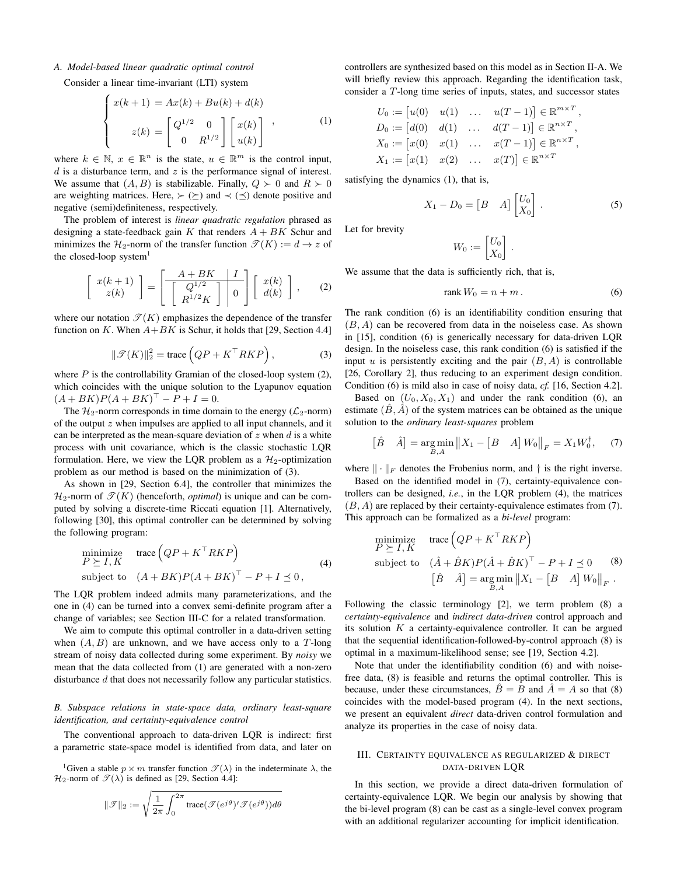## <span id="page-1-5"></span>*A. Model-based linear quadratic optimal control*

Consider a linear time-invariant (LTI) system

<span id="page-1-4"></span>
$$
\begin{cases}\nx(k+1) = Ax(k) + Bu(k) + d(k) \\
z(k) = \begin{bmatrix} Q^{1/2} & 0 \\
0 & R^{1/2} \end{bmatrix} \begin{bmatrix} x(k) \\ u(k) \end{bmatrix},\n\end{cases} (1)
$$

where  $k \in \mathbb{N}$ ,  $x \in \mathbb{R}^n$  is the state,  $u \in \mathbb{R}^m$  is the control input,  $d$  is a disturbance term, and  $z$  is the performance signal of interest. We assume that  $(A, B)$  is stabilizable. Finally,  $Q \succ 0$  and  $R \succ 0$ are weighting matrices. Here,  $\succ$  ( $\succeq$ ) and  $\prec$  ( $\preceq$ ) denote positive and negative (semi)definiteness, respectively.

The problem of interest is *linear quadratic regulation* phrased as designing a state-feedback gain K that renders  $A + BK$  Schur and minimizes the  $\mathcal{H}_2$ -norm of the transfer function  $\mathscr{T}(K) := d \to z$  of the closed-loop system $<sup>1</sup>$ </sup>

<span id="page-1-1"></span>
$$
\left[\begin{array}{c}x(k+1)\\z(k)\end{array}\right]=\left[\begin{array}{c|c}A+BK&I\\ \hline Q^{1/2}\\R^{1/2}K\end{array}\right]\left[\begin{array}{c}x(k)\\d(k)\end{array}\right],\qquad(2)
$$

<span id="page-1-2"></span>where our notation  $\mathcal{T}(K)$  emphasizes the dependence of the transfer function on K. When  $A+BK$  is Schur, it holds that [\[29,](#page-7-24) Section 4.4]

$$
\|\mathcal{T}(K)\|_2^2 = \text{trace}\left(QP + K^\top RKP\right),\tag{3}
$$

where  $P$  is the controllability Gramian of the closed-loop system  $(2)$ , which coincides with the unique solution to the Lyapunov equation  $(A + BK)P(A + BK)^{\top} - P + I = 0.$ 

The  $\mathcal{H}_2$ -norm corresponds in time domain to the energy ( $\mathcal{L}_2$ -norm) of the output z when impulses are applied to all input channels, and it can be interpreted as the mean-square deviation of  $z$  when  $d$  is a white process with unit covariance, which is the classic stochastic LQR formulation. Here, we view the LQR problem as a  $\mathcal{H}_2$ -optimization problem as our method is based on the minimization of [\(3\)](#page-1-2).

As shown in [\[29,](#page-7-24) Section 6.4], the controller that minimizes the  $\mathcal{H}_2$ -norm of  $\mathcal{T}(K)$  (henceforth, *optimal*) is unique and can be computed by solving a discrete-time Riccati equation [\[1\]](#page-7-0). Alternatively, following [\[30\]](#page-7-25), this optimal controller can be determined by solving the following program:

<span id="page-1-3"></span>
$$
\begin{array}{ll}\text{minimize} & \text{trace}\left(QP + K^\top R K P\right) \\ P \succeq I, K & \text{(4)} \\ \text{subject to} & \left(A + BK\right)P\left(A + BK\right)^\top - P + I \preceq 0 \,, \end{array} \tag{4}
$$

The LQR problem indeed admits many parameterizations, and the one in [\(4\)](#page-1-3) can be turned into a convex semi-definite program after a change of variables; see Section [III-C](#page-3-1) for a related transformation.

We aim to compute this optimal controller in a data-driven setting when  $(A, B)$  are unknown, and we have access only to a T-long stream of noisy data collected during some experiment. By *noisy* we mean that the data collected from [\(1\)](#page-1-4) are generated with a non-zero disturbance d that does not necessarily follow any particular statistics.

#### *B. Subspace relations in state-space data, ordinary least-square identification, and certainty-equivalence control*

The conventional approach to data-driven LQR is indirect: first a parametric state-space model is identified from data, and later on

<sup>1</sup>Given a stable  $p \times m$  transfer function  $\mathcal{T}(\lambda)$  in the indeterminate  $\lambda$ , the  $\mathcal{H}_2$ -norm of  $\mathcal{T}(\lambda)$  is defined as [\[29,](#page-7-24) Section 4.4]:

$$
\|\mathcal{F}\|_2 := \sqrt{\frac{1}{2\pi} \int_0^{2\pi} \text{trace}(\mathcal{F}(e^{j\theta})' \mathcal{F}(e^{j\theta})) d\theta}
$$

controllers are synthesized based on this model as in Section [II-A.](#page-1-5) We will briefly review this approach. Regarding the identification task, consider a T-long time series of inputs, states, and successor states

$$
U_0 := [u(0) \quad u(1) \quad \dots \quad u(T-1)] \in \mathbb{R}^{m \times T},
$$
  
\n
$$
D_0 := [d(0) \quad d(1) \quad \dots \quad d(T-1)] \in \mathbb{R}^{n \times T},
$$
  
\n
$$
X_0 := [x(0) \quad x(1) \quad \dots \quad x(T-1)] \in \mathbb{R}^{n \times T},
$$
  
\n
$$
X_1 := [x(1) \quad x(2) \quad \dots \quad x(T)] \in \mathbb{R}^{n \times T}
$$

satisfying the dynamics [\(1\)](#page-1-4), that is,

<span id="page-1-9"></span>
$$
X_1 - D_0 = \begin{bmatrix} B & A \end{bmatrix} \begin{bmatrix} U_0 \\ X_0 \end{bmatrix} . \tag{5}
$$

Let for brevity

<span id="page-1-6"></span>
$$
W_0 := \begin{bmatrix} U_0 \\ X_0 \end{bmatrix}.
$$

We assume that the data is sufficiently rich, that is,

<span id="page-1-7"></span>
$$
rank W_0 = n + m. \tag{6}
$$

The rank condition [\(6\)](#page-1-6) is an identifiability condition ensuring that  $(B, A)$  can be recovered from data in the noiseless case. As shown in [\[15\]](#page-7-10), condition [\(6\)](#page-1-6) is generically necessary for data-driven LQR design. In the noiseless case, this rank condition [\(6\)](#page-1-6) is satisfied if the input u is persistently exciting and the pair  $(B, A)$  is controllable [\[26,](#page-7-20) Corollary 2], thus reducing to an experiment design condition. Condition [\(6\)](#page-1-6) is mild also in case of noisy data, *cf.* [\[16,](#page-7-11) Section 4.2].

Based on  $(U_0, X_0, X_1)$  and under the rank condition [\(6\)](#page-1-6), an estimate  $(B, \tilde{A})$  of the system matrices can be obtained as the unique solution to the *ordinary least-squares* problem

$$
\begin{bmatrix} \hat{B} & \hat{A} \end{bmatrix} = \underset{B,A}{\text{arg min}} \left\| X_1 - \begin{bmatrix} B & A \end{bmatrix} W_0 \right\|_F = X_1 W_0^{\dagger}, \quad (7)
$$

where  $\|\cdot\|_F$  denotes the Frobenius norm, and  $\dagger$  is the right inverse.

Based on the identified model in [\(7\)](#page-1-7), certainty-equivalence controllers can be designed, *i.e.*, in the LQR problem [\(4\)](#page-1-3), the matrices  $(B, A)$  are replaced by their certainty-equivalence estimates from [\(7\)](#page-1-7). This approach can be formalized as a *bi-level* program:

<span id="page-1-8"></span>minimize trace 
$$
(QP + K^\top RKP)
$$
  
\nsubject to  $(\hat{A} + \hat{B}K)P(\hat{A} + \hat{B}K)^\top - P + I \preceq 0$  (8)  
\n $[\hat{B} \quad \hat{A}] = \underset{B,A}{\arg \min} ||X_1 - [B \quad A] W_0||_F$ .

Following the classic terminology [\[2\]](#page-7-1), we term problem [\(8\)](#page-1-8) a *certainty-equivalence* and *indirect data-driven* control approach and its solution  $K$  a certainty-equivalence controller. It can be argued that the sequential identification-followed-by-control approach [\(8\)](#page-1-8) is optimal in a maximum-likelihood sense; see [\[19,](#page-7-13) Section 4.2].

Note that under the identifiability condition [\(6\)](#page-1-6) and with noisefree data, [\(8\)](#page-1-8) is feasible and returns the optimal controller. This is because, under these circumstances,  $\ddot{B} = B$  and  $\ddot{A} = A$  so that [\(8\)](#page-1-8) coincides with the model-based program [\(4\)](#page-1-3). In the next sections, we present an equivalent *direct* data-driven control formulation and analyze its properties in the case of noisy data.

## <span id="page-1-0"></span>III. CERTAINTY EQUIVALENCE AS REGULARIZED & DIRECT DATA-DRIVEN LQR

In this section, we provide a direct data-driven formulation of certainty-equivalence LQR. We begin our analysis by showing that the bi-level program [\(8\)](#page-1-8) can be cast as a single-level convex program with an additional regularizer accounting for implicit identification.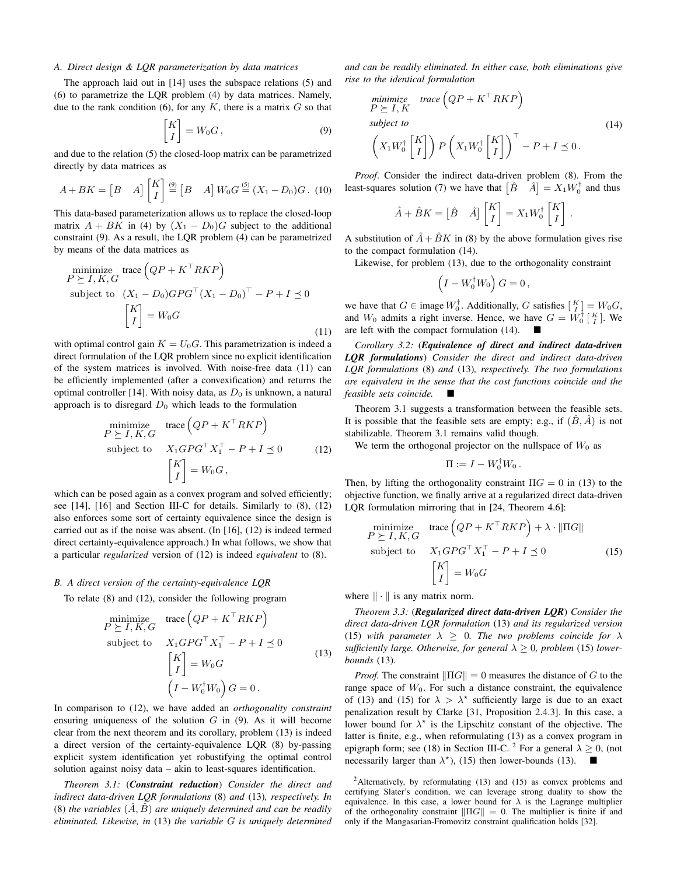#### *A. Direct design & LQR parameterization by data matrices*

The approach laid out in [\[14\]](#page-7-9) uses the subspace relations [\(5\)](#page-1-9) and [\(6\)](#page-1-6) to parametrize the LQR problem [\(4\)](#page-1-3) by data matrices. Namely, due to the rank condition [\(6\)](#page-1-6), for any  $K$ , there is a matrix  $G$  so that

<span id="page-2-8"></span><span id="page-2-1"></span>
$$
\begin{bmatrix} K \\ I \end{bmatrix} = W_0 G, \tag{9}
$$

and due to the relation [\(5\)](#page-1-9) the closed-loop matrix can be parametrized directly by data matrices as

$$
A + BK = \begin{bmatrix} B & A \end{bmatrix} \begin{bmatrix} K \\ I \end{bmatrix} \stackrel{\text{(9)}}{=} \begin{bmatrix} B & A \end{bmatrix} W_0 G \stackrel{\text{(5)}}{=} (X_1 - D_0)G. \tag{10}
$$

This data-based parameterization allows us to replace the closed-loop matrix  $A + BK$  in [\(4\)](#page-1-3) by  $(X_1 - D_0)G$  subject to the additional constraint [\(9\)](#page-2-0). As a result, the LQR problem [\(4\)](#page-1-3) can be parametrized by means of the data matrices as

$$
\begin{aligned}\n\text{minimize}_{P \geq I, K, G} \text{trace} \left( QP + K^{\top} R K P \right) \\
\text{subject to} \quad & (X_1 - D_0) G P G^{\top} (X_1 - D_0)^{\top} - P + I \preceq 0 \\
& \begin{bmatrix} K \\ I \end{bmatrix} = W_0 G\n\end{aligned} \tag{11}
$$

with optimal control gain  $K = U_0 G$ . This parametrization is indeed a direct formulation of the LQR problem since no explicit identification of the system matrices is involved. With noise-free data [\(11\)](#page-2-1) can be efficiently implemented (after a convexification) and returns the optimal controller [\[14\]](#page-7-9). With noisy data, as  $D_0$  is unknown, a natural approach is to disregard  $D_0$  which leads to the formulation

$$
\begin{aligned}\n\text{minimize} & \text{trace} \left( QP + K^{\top}RKP \right) \\
P \succeq I, K, G \\
\text{subject to} & X_1 G P G^{\top} X_1^{\top} - P + I \preceq 0 \\
& \begin{bmatrix} K \\ I \end{bmatrix} = W_0 G \,,\n\end{aligned} \tag{12}
$$

which can be posed again as a convex program and solved efficiently; see [\[14\]](#page-7-9), [\[16\]](#page-7-11) and Section [III-C](#page-3-1) for details. Similarly to [\(8\)](#page-1-8), [\(12\)](#page-2-2) also enforces some sort of certainty equivalence since the design is carried out as if the noise was absent. (In [\[16\]](#page-7-11), [\(12\)](#page-2-2) is indeed termed direct certainty-equivalence approach.) In what follows, we show that a particular *regularized* version of [\(12\)](#page-2-2) is indeed *equivalent* to [\(8\)](#page-1-8).

#### *B. A direct version of the certainty-equivalence LQR*

To relate [\(8\)](#page-1-8) and [\(12\)](#page-2-2), consider the following program

$$
\begin{aligned}\n\text{minimize} & \text{trace} \left( QP + K^{\top}RKP \right) \\
P \succeq I, K, G \\
\text{subject to} & X_1 G P G^{\top} X_1^{\top} - P + I \preceq 0 \\
& \begin{bmatrix} K \\ I \end{bmatrix} = W_0 G \\
& \begin{pmatrix} I - W_0^{\dagger} W_0 \end{pmatrix} G = 0.\n\end{aligned} \tag{13}
$$

In comparison to [\(12\)](#page-2-2), we have added an *orthogonality constraint* ensuring uniqueness of the solution  $G$  in  $(9)$ . As it will become clear from the next theorem and its corollary, problem [\(13\)](#page-2-3) is indeed a direct version of the certainty-equivalence LQR [\(8\)](#page-1-8) by-passing explicit system identification yet robustifying the optimal control solution against noisy data – akin to least-squares identification.

<span id="page-2-5"></span>*Theorem 3.1:* (*Constraint reduction*) *Consider the direct and indirect data-driven LQR formulations* [\(8\)](#page-1-8) *and* [\(13\)](#page-2-3)*, respectively. In*  $(8)$  *the variables*  $(\ddot{A}, \ddot{B})$  *are uniquely determined and can be readily eliminated. Likewise, in* [\(13\)](#page-2-3) *the variable* G *is uniquely determined* *and can be readily eliminated. In either case, both eliminations give rise to the identical formulation*

<span id="page-2-4"></span><span id="page-2-0"></span>
$$
\begin{array}{ll}\text{minimize} & \text{trace}\left(QP + K^{\top}RKP\right) \\ P \succeq I, K \\ \text{subject to} & \\ \left(X_1 W_0^{\dagger} \begin{bmatrix} K \\ I \end{bmatrix}\right) P \left(X_1 W_0^{\dagger} \begin{bmatrix} K \\ I \end{bmatrix}\right)^{\top} - P + I \preceq 0. \end{array} \tag{14}
$$

*Proof*. Consider the indirect data-driven problem [\(8\)](#page-1-8). From the least-squares solution [\(7\)](#page-1-7) we have that  $\begin{bmatrix} \hat{B} & \hat{A} \end{bmatrix} = X_1 W_0^{\dagger}$  and thus

$$
\hat{A} + \hat{B}K = \begin{bmatrix} \hat{B} & \hat{A} \end{bmatrix} \begin{bmatrix} K \\ I \end{bmatrix} = X_1 W_0^{\dagger} \begin{bmatrix} K \\ I \end{bmatrix}.
$$

A substitution of  $\ddot{A} + \ddot{B}K$  in [\(8\)](#page-1-8) by the above formulation gives rise to the compact formulation [\(14\)](#page-2-4).

Likewise, for problem [\(13\)](#page-2-3), due to the orthogonality constraint

$$
\left(I - W_0^\dagger W_0\right) G = 0\,,
$$

we have that  $G \in \text{image } W_0^{\dagger}$ . Additionally, G satisfies  $\begin{bmatrix} K \\ I \end{bmatrix} = W_0 G$ , and  $W_0$  admits a right inverse. Hence, we have  $G = W_0^{\dagger} \begin{bmatrix} K \\ I \end{bmatrix}$ . We are left with the compact formulation [\(14\)](#page-2-4).

*Corollary 3.2:* (*Equivalence of direct and indirect data-driven LQR formulations*) *Consider the direct and indirect data-driven LQR formulations* [\(8\)](#page-1-8) *and* [\(13\)](#page-2-3)*, respectively. The two formulations are equivalent in the sense that the cost functions coincide and the feasible sets coincide.*

<span id="page-2-2"></span>Theorem [3.1](#page-2-5) suggests a transformation between the feasible sets. It is possible that the feasible sets are empty; e.g., if  $(\hat{B}, \hat{A})$  is not stabilizable. Theorem [3.1](#page-2-5) remains valid though.

We term the orthogonal projector on the nullspace of  $W_0$  as

<span id="page-2-6"></span>
$$
\Pi := I - W_0^{\dagger} W_0.
$$

Then, by lifting the orthogonality constraint  $\Pi G = 0$  in [\(13\)](#page-2-3) to the objective function, we finally arrive at a regularized direct data-driven LQR formulation mirroring that in [\[24,](#page-7-18) Theorem 4.6]:

$$
\begin{aligned}\n\text{minimize} & \text{trace}\left(QP + K^{\top}RKP\right) + \lambda \cdot \|\Pi G\| \\
P \succeq I, K, G & \text{subject to} & X_1 GPG^{\top} X_1^{\top} - P + I \preceq 0 \\
& \begin{bmatrix} K \\ I \end{bmatrix} = W_0 G\n\end{aligned} \tag{15}
$$

<span id="page-2-3"></span>where  $\|\cdot\|$  is any matrix norm.

<span id="page-2-7"></span>*Theorem 3.3:* (*Regularized direct data-driven LQR*) *Consider the direct data-driven LQR formulation* [\(13\)](#page-2-3) *and its regularized version* [\(15\)](#page-2-6) with parameter  $\lambda \geq 0$ . The two problems coincide for  $\lambda$ *sufficiently large. Otherwise, for general*  $\lambda \geq 0$ *, problem* [\(15\)](#page-2-6) *lowerbounds* [\(13\)](#page-2-3)*.*

*Proof.* The constraint  $\|\Pi G\| = 0$  measures the distance of G to the range space of  $W_0$ . For such a distance constraint, the equivalence of [\(13\)](#page-2-3) and [\(15\)](#page-2-6) for  $\lambda > \lambda^*$  sufficiently large is due to an exact penalization result by Clarke [\[31,](#page-7-26) Proposition 2.4.3]. In this case, a lower bound for  $\lambda^*$  is the Lipschitz constant of the objective. The latter is finite, e.g., when reformulating [\(13\)](#page-2-3) as a convex program in epigraph form; see [\(18\)](#page-3-2) in Section [III-C.](#page-3-1) <sup>2</sup> For a general  $\lambda \geq 0$ , (not necessarily larger than  $\lambda^*$ ), [\(15\)](#page-2-6) then lower-bounds [\(13\)](#page-2-3).  $\blacksquare$ 

<sup>2</sup>Alternatively, by reformulating  $(13)$  and  $(15)$  as convex problems and certifying Slater's condition, we can leverage strong duality to show the equivalence. In this case, a lower bound for  $\lambda$  is the Lagrange multiplier of the orthogonality constraint  $\|\Pi G\| = 0$ . The multiplier is finite if and only if the Mangasarian-Fromovitz constraint qualification holds [\[32\]](#page-7-27).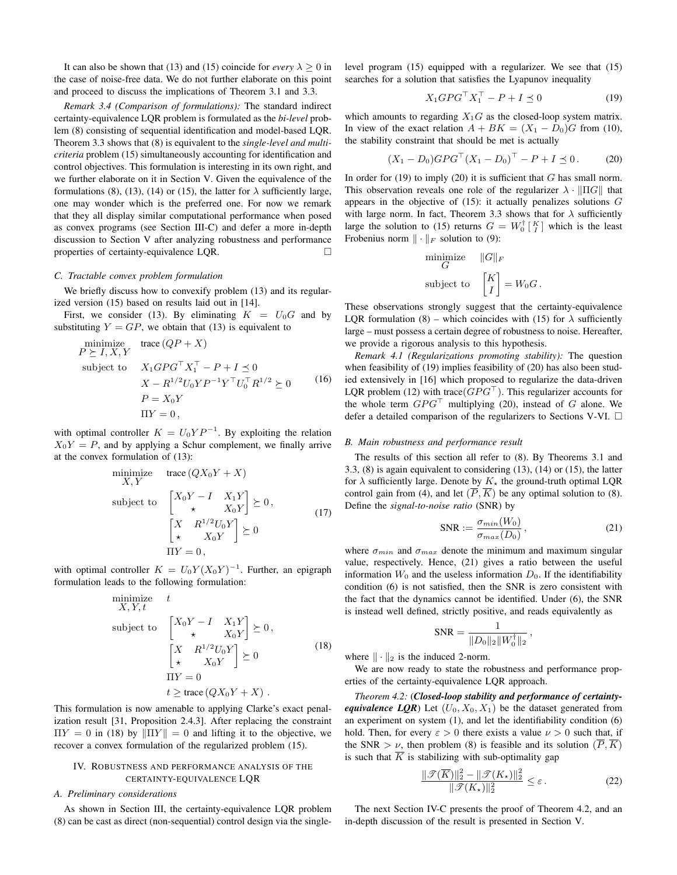It can also be shown that [\(13\)](#page-2-3) and [\(15\)](#page-2-6) coincide for *every*  $\lambda \geq 0$  in the case of noise-free data. We do not further elaborate on this point and proceed to discuss the implications of Theorem [3.1](#page-2-5) and [3.3.](#page-2-7)

*Remark 3.4 (Comparison of formulations):* The standard indirect certainty-equivalence LQR problem is formulated as the *bi-level* problem [\(8\)](#page-1-8) consisting of sequential identification and model-based LQR. Theorem [3.3](#page-2-7) shows that [\(8\)](#page-1-8) is equivalent to the *single-level and multicriteria* problem [\(15\)](#page-2-6) simultaneously accounting for identification and control objectives. This formulation is interesting in its own right, and we further elaborate on it in Section [V.](#page-4-0) Given the equivalence of the formulations [\(8\)](#page-1-8), [\(13\)](#page-2-3), [\(14\)](#page-2-4) or [\(15\)](#page-2-6), the latter for  $\lambda$  sufficiently large, one may wonder which is the preferred one. For now we remark that they all display similar computational performance when posed as convex programs (see Section [III-C\)](#page-3-1) and defer a more in-depth discussion to Section [V](#page-4-0) after analyzing robustness and performance properties of certainty-equivalence LQR.

#### <span id="page-3-1"></span>*C. Tractable convex problem formulation*

We briefly discuss how to convexify problem [\(13\)](#page-2-3) and its regularized version [\(15\)](#page-2-6) based on results laid out in [\[14\]](#page-7-9).

First, we consider [\(13\)](#page-2-3). By eliminating  $K = U_0G$  and by substituting  $Y = GP$ , we obtain that [\(13\)](#page-2-3) is equivalent to

$$
\begin{array}{ll}\n\text{minimize} & \text{trace}\left(QP + X\right) \\
P \succeq I, X, Y \\
\text{subject to} & X_1 G P G^\top X_1^\top - P + I \preceq 0 \\
& X - R^{1/2} U_0 Y P^{-1} Y^\top U_0^\top R^{1/2} \succeq 0 \\
& P = X_0 Y \\
& \Pi Y = 0\n\end{array} \tag{16}
$$

with optimal controller  $K = U_0 Y P^{-1}$ . By exploiting the relation  $X_0Y = P$ , and by applying a Schur complement, we finally arrive at the convex formulation of [\(13\)](#page-2-3):

$$
\begin{array}{ll}\n\text{minimize} & \text{trace}\left(QX_0Y + X\right) \\
X, Y \\
\text{subject to} & \begin{bmatrix} X_0Y - I & X_1Y \\ \star & X_0Y \end{bmatrix} \succeq 0, \\
& \begin{bmatrix} X & R^{1/2}U_0Y \\ \star & X_0Y \end{bmatrix} \succeq 0 \\
\text{II}Y = 0,\n\end{array} \tag{17}
$$

with optimal controller  $K = U_0 Y (X_0 Y)^{-1}$ . Further, an epigraph formulation leads to the following formulation:

$$
\begin{array}{ll}\n\text{minimize} & t \\
X, Y, t & \\
\text{subject to} & \begin{bmatrix} X_0 Y - I & X_1 Y \\ \star & X_0 Y \end{bmatrix} \succeq 0, \\
& \begin{bmatrix} X & R^{1/2} U_0 Y \\ \star & X_0 Y \end{bmatrix} \succeq 0 \\
& \text{IIY} = 0 \\
& t \ge \text{trace} \left( Q X_0 Y + X \right) .\n\end{array} \tag{18}
$$

This formulation is now amenable to applying Clarke's exact penalization result [\[31,](#page-7-26) Proposition 2.4.3]. After replacing the constraint  $\Pi Y = 0$  in [\(18\)](#page-3-2) by  $\|\Pi Y\| = 0$  and lifting it to the objective, we recover a convex formulation of the regularized problem [\(15\)](#page-2-6).

# <span id="page-3-0"></span>IV. ROBUSTNESS AND PERFORMANCE ANALYSIS OF THE CERTAINTY-EQUIVALENCE LQR

#### *A. Preliminary considerations*

As shown in Section [III,](#page-1-0) the certainty-equivalence LQR problem [\(8\)](#page-1-8) can be cast as direct (non-sequential) control design via the singlelevel program [\(15\)](#page-2-6) equipped with a regularizer. We see that [\(15\)](#page-2-6) searches for a solution that satisfies the Lyapunov inequality

<span id="page-3-4"></span><span id="page-3-3"></span>
$$
X_1 G P G^\top X_1^\top - P + I \preceq 0 \tag{19}
$$

which amounts to regarding  $X_1G$  as the closed-loop system matrix. In view of the exact relation  $A + BK = (X_1 - D_0)G$  from [\(10\)](#page-2-8), the stability constraint that should be met is actually

$$
(X_1 - D_0)GPG^{\top} (X_1 - D_0)^{\top} - P + I \preceq 0. \tag{20}
$$

In order for  $(19)$  to imply  $(20)$  it is sufficient that G has small norm. This observation reveals one role of the regularizer  $\lambda \cdot ||\Pi G||$  that appears in the objective of  $(15)$ : it actually penalizes solutions  $G$ with large norm. In fact, Theorem [3.3](#page-2-7) shows that for  $\lambda$  sufficiently large the solution to [\(15\)](#page-2-6) returns  $G = W_0^{\dagger} \begin{bmatrix} K \\ I \end{bmatrix}$  which is the least Frobenius norm  $\|\cdot\|_F$  solution to [\(9\)](#page-2-0):

$$
\begin{aligned}\n\text{minimize} & \|G\|_F \\
\text{subject to} & \begin{bmatrix} K \\ I \end{bmatrix} = W_0 G \,.\n\end{aligned}
$$

These observations strongly suggest that the certainty-equivalence LQR formulation [\(8\)](#page-1-8) – which coincides with [\(15\)](#page-2-6) for  $\lambda$  sufficiently large – must possess a certain degree of robustness to noise. Hereafter, we provide a rigorous analysis to this hypothesis.

<span id="page-3-8"></span>*Remark 4.1 (Regularizations promoting stability):* The question when feasibility of [\(19\)](#page-3-3) implies feasibility of [\(20\)](#page-3-4) has also been studied extensively in [\[16\]](#page-7-11) which proposed to regularize the data-driven LQR problem [\(12\)](#page-2-2) with trace( $GPG^{\top}$ ). This regularizer accounts for the whole term  $GPG^{\top}$  multiplying [\(20\)](#page-3-4), instead of G alone. We defer a detailed comparison of the regularizers to Sections [V](#page-4-0)[-VI.](#page-5-0)  $\Box$ 

#### *B. Main robustness and performance result*

The results of this section all refer to [\(8\)](#page-1-8). By Theorems [3.1](#page-2-5) and [3.3,](#page-2-7) [\(8\)](#page-1-8) is again equivalent to considering [\(13\)](#page-2-3), [\(14\)](#page-2-4) or [\(15\)](#page-2-6), the latter for  $\lambda$  sufficiently large. Denote by  $K_{\star}$  the ground-truth optimal LQR control gain from [\(4\)](#page-1-3), and let  $(\overline{P}, \overline{K})$  be any optimal solution to [\(8\)](#page-1-8). Define the *signal-to-noise ratio* (SNR) by

<span id="page-3-5"></span>
$$
SNR := \frac{\sigma_{min}(W_0)}{\sigma_{max}(D_0)},
$$
\n(21)

<span id="page-3-2"></span>where  $\sigma_{min}$  and  $\sigma_{max}$  denote the minimum and maximum singular value, respectively. Hence, [\(21\)](#page-3-5) gives a ratio between the useful information  $W_0$  and the useless information  $D_0$ . If the identifiability condition [\(6\)](#page-1-6) is not satisfied, then the SNR is zero consistent with the fact that the dynamics cannot be identified. Under [\(6\)](#page-1-6), the SNR is instead well defined, strictly positive, and reads equivalently as

$$
\text{SNR} = \frac{1}{\|D_0\|_2 \|W_0^{\dagger}\|_2} \,,
$$

where  $\|\cdot\|_2$  is the induced 2-norm.

We are now ready to state the robustness and performance properties of the certainty-equivalence LQR approach.

<span id="page-3-6"></span>*Theorem 4.2:* (*Closed-loop stability and performance of certaintyequivalence LQR*) Let  $(U_0, X_0, X_1)$  be the dataset generated from an experiment on system [\(1\)](#page-1-4), and let the identifiability condition [\(6\)](#page-1-6) hold. Then, for every  $\varepsilon > 0$  there exists a value  $\nu > 0$  such that, if the SNR  $> \nu$ , then problem [\(8\)](#page-1-8) is feasible and its solution  $(\overline{P}, \overline{K})$ is such that  $\overline{K}$  is stabilizing with sub-optimality gap

<span id="page-3-7"></span>
$$
\frac{\|\mathcal{T}(\overline{K})\|_2^2 - \|\mathcal{T}(K_\star)\|_2^2}{\|\mathcal{T}(K_\star)\|_2^2} \le \varepsilon.
$$
 (22)

The next Section [IV-C](#page-4-1) presents the proof of Theorem [4.2,](#page-3-6) and an in-depth discussion of the result is presented in Section [V.](#page-4-0)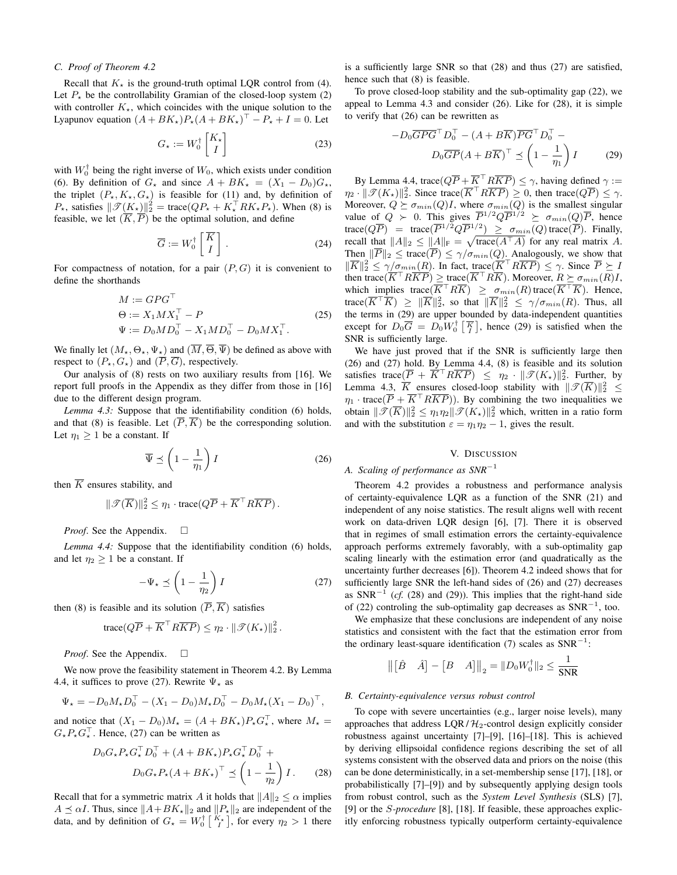#### <span id="page-4-1"></span>*C. Proof of Theorem [4.2](#page-3-6)*

Recall that  $K_{\star}$  is the ground-truth optimal LQR control from [\(4\)](#page-1-3). Let  $P_{\star}$  be the controllability Gramian of the closed-loop system [\(2\)](#page-1-1) with controller  $K_{\star}$ , which coincides with the unique solution to the Lyapunov equation  $(A + BK_*)P_*(A + BK_*)^\top - P_* + I = 0$ . Let

$$
G_{\star} := W_0^{\dagger} \begin{bmatrix} K_{\star} \\ I \end{bmatrix} \tag{23}
$$

with  $W_0^{\dagger}$  being the right inverse of  $W_0$ , which exists under condition [\(6\)](#page-1-6). By definition of  $G_{\star}$  and since  $A + BK_{\star} = (X_1 - D_0)G_{\star}$ , the triplet  $(P_\star, K_\star, G_\star)$  is feasible for [\(11\)](#page-2-1) and, by definition of  $P_{\star}$ , satisfies  $\|\mathscr{T}(K_{\star})\|_2^2 = \text{trace}(QP_{\star} + K_{\star}^{\top}RK_{\star}P_{\star})$ . When [\(8\)](#page-1-8) is feasible, we let  $(\overline{K}, \overline{P})$  be the optimal solution, and define

$$
\overline{G} := W_0^\dagger \begin{bmatrix} \overline{K} \\ I \end{bmatrix} . \tag{24}
$$

For compactness of notation, for a pair  $(P, G)$  it is convenient to define the shorthands

<span id="page-4-9"></span>
$$
M := G P G^{\top}
$$
  
\n
$$
\Theta := X_1 M X_1^{\top} - P
$$
  
\n
$$
\Psi := D_0 M D_0^{\top} - X_1 M D_0^{\top} - D_0 M X_1^{\top}.
$$
\n(25)

We finally let  $(M_*, \Theta_*, \Psi_*)$  and  $(\overline{M}, \overline{\Theta}, \overline{\Psi})$  be defined as above with respect to  $(P_\star, G_\star)$  and  $(\overline{P}, \overline{G})$ , respectively.

Our analysis of [\(8\)](#page-1-8) rests on two auxiliary results from [\[16\]](#page-7-11). We report full proofs in the Appendix as they differ from those in [\[16\]](#page-7-11) due to the different design program.

<span id="page-4-5"></span>*Lemma 4.3:* Suppose that the identifiability condition [\(6\)](#page-1-6) holds, and that [\(8\)](#page-1-8) is feasible. Let  $(\overline{P}, \overline{K})$  be the corresponding solution. Let  $\eta_1 \geq 1$  be a constant. If

<span id="page-4-6"></span>
$$
\overline{\Psi} \preceq \left(1 - \frac{1}{\eta_1}\right) I \tag{26}
$$

then  $\overline{K}$  ensures stability, and

$$
\|\mathcal{T}(\overline{K})\|_2^2 \leq \eta_1 \cdot \text{trace}(Q\overline{P} + \overline{K}^\top R \overline{KP}).
$$

*Proof.* See the Appendix. □

<span id="page-4-2"></span>*Lemma 4.4:* Suppose that the identifiability condition [\(6\)](#page-1-6) holds, and let  $\eta_2 \geq 1$  be a constant. If

<span id="page-4-3"></span>
$$
-\Psi_{\star} \preceq \left(1 - \frac{1}{\eta_2}\right)I\tag{27}
$$

then [\(8\)](#page-1-8) is feasible and its solution  $(\overline{P}, \overline{K})$  satisfies

trace
$$
(Q\overline{P} + \overline{K}^\top R \overline{K}P) \le \eta_2 \cdot ||\mathcal{T}(K_\star)||_2^2
$$
.

*Proof.* See the Appendix. □

We now prove the feasibility statement in Theorem [4.2.](#page-3-6) By Lemma [4.4,](#page-4-2) it suffices to prove [\(27\)](#page-4-3). Rewrite  $\Psi_{\star}$  as

$$
\Psi_{\star} = -D_0 M_{\star} D_0^{\top} - (X_1 - D_0) M_{\star} D_0^{\top} - D_0 M_{\star} (X_1 - D_0)^{\top},
$$

and notice that  $(X_1 - D_0)M_{\star} = (A + BK_{\star})P_{\star}G_{\star}^{\top}$ , where  $M_{\star} =$  $G_{\star}P_{\star}G_{\star}^{\top}$ . Hence, [\(27\)](#page-4-3) can be written as

<span id="page-4-4"></span>
$$
D_0 G_{\star} P_{\star} G_{\star}^{\top} D_0^{\top} + (A + BK_{\star}) P_{\star} G_{\star}^{\top} D_0^{\top} + D_0 G_{\star} P_{\star} (A + BK_{\star})^{\top} \preceq \left(1 - \frac{1}{\eta_2}\right) I. \tag{28}
$$

Recall that for a symmetric matrix A it holds that  $||A||_2 \le \alpha$  implies  $A \preceq \alpha I$ . Thus, since  $||A+BK_{\star}||_2$  and  $||P_{\star}||_2$  are independent of the data, and by definition of  $G_{\star} = W_0^{\dagger} \begin{bmatrix} K_{\star} \\ I \end{bmatrix}$ , for every  $\eta_2 > 1$  there is a sufficiently large SNR so that [\(28\)](#page-4-4) and thus [\(27\)](#page-4-3) are satisfied, hence such that [\(8\)](#page-1-8) is feasible.

<span id="page-4-10"></span>To prove closed-loop stability and the sub-optimality gap [\(22\)](#page-3-7), we appeal to Lemma [4.3](#page-4-5) and consider [\(26\)](#page-4-6). Like for [\(28\)](#page-4-4), it is simple to verify that [\(26\)](#page-4-6) can be rewritten as

<span id="page-4-7"></span>
$$
-D_0 \overline{G} \overline{P} \overline{G}^\top D_0^\top - (A + B \overline{K}) \overline{P} \overline{G}^\top D_0^\top - D_0 \overline{G} \overline{P} (A + B \overline{K})^\top \preceq \left(1 - \frac{1}{\eta_1}\right) I \tag{29}
$$

<span id="page-4-8"></span>By Lemma [4.4,](#page-4-2) trace( $Q\overline{P} + \overline{K}^{\top}R\overline{KP}$ )  $\leq \gamma$ , having defined  $\gamma$  :=  $\eta_2 \cdot ||\mathscr{T}(K_\star)||_2^2$ . Since trace $(\overline{K}^\top R \overline{K} \overline{P}) \geq 0$ , then trace $(Q\overline{P}) \leq \gamma$ . Moreover,  $Q \succeq \sigma_{min}(Q)I$ , where  $\sigma_{min}(Q)$  is the smallest singular value of  $Q \succ 0$ . This gives  $\overline{P}^{1/2} Q \overline{P}^{1/2} \succeq \sigma_{min}(Q) \overline{P}$ , hence trace $(Q\overline{P})$  = trace $(\overline{P}^{1/2}Q\overline{P}^{1/2})$   $\geq \sigma_{min}(Q)$  trace $(\overline{P})$ . Finally, recall that  $||A||_2 \le ||A||_F = \sqrt{\text{trace}(A^{\top}A)}$  for any real matrix A. Then  $\|\overline{P}\|_2 \leq \text{trace}(\overline{P}) \leq \gamma/\sigma_{min}(Q)$ . Analogously, we show that  $\|\overline{K}\|_2^2 \leq \gamma/\sigma_{min}(R)$ . In fact, trace $(\overline{K}^\top R \overline{K} \overline{P}) \leq \gamma$ . Since  $\overline{P} \succeq I$ then trace $(\overline{K}^{\top}R\overline{K}P) \geq \text{trace}(\overline{K}^{\top}R\overline{K})$ . Moreover,  $R \succeq \sigma_{min}(R)I$ , which implies trace( $\overline{K}^\top R \overline{K}$ )  $\geq \sigma_{min}(R)$  trace( $\overline{K}^\top \overline{K}$ ). Hence, trace $(\overline{K}^\top \overline{K}) \geq \|\overline{K}\|_2^2$ , so that  $\|\overline{K}\|_2^2 \leq \gamma/\sigma_{min}(R)$ . Thus, all the terms in [\(29\)](#page-4-7) are upper bounded by data-independent quantities except for  $D_0 \overline{G} = D_0 W_0^{\dagger} \begin{bmatrix} \overline{K} \\ I \end{bmatrix}$ , hence [\(29\)](#page-4-7) is satisfied when the SNR is sufficiently large.

We have just proved that if the SNR is sufficiently large then [\(26\)](#page-4-6) and [\(27\)](#page-4-3) hold. By Lemma [4.4,](#page-4-2) [\(8\)](#page-1-8) is feasible and its solution satisfies trace $(\overline{P} + \overline{K}^\top R \overline{K} \overline{P}) \le \eta_2 \cdot ||\mathcal{T}(K_{\star})||_2^2$ . Further, by Lemma [4.3,](#page-4-5)  $\overline{K}$  ensures closed-loop stability with  $\|\mathscr{T}(\overline{K})\|_2^2 \leq$  $\eta_1$  · trace( $\overline{P} + \overline{K}^\top R \overline{K} \overline{P}$ )). By combining the two inequalities we obtain  $\|\mathscr{T}(\overline{K})\|_2^2 \leq \eta_1\eta_2\|\mathscr{T}(K_{\star})\|_2^2$  which, written in a ratio form and with the substitution  $\varepsilon = \eta_1 \eta_2 - 1$ , gives the result.

#### V. DISCUSSION

# <span id="page-4-0"></span>*A. Scaling of performance as SNR*<sup>−</sup><sup>1</sup>

Theorem [4.2](#page-3-6) provides a robustness and performance analysis of certainty-equivalence LQR as a function of the SNR [\(21\)](#page-3-5) and independent of any noise statistics. The result aligns well with recent work on data-driven LQR design [\[6\]](#page-7-3), [\[7\]](#page-7-4). There it is observed that in regimes of small estimation errors the certainty-equivalence approach performs extremely favorably, with a sub-optimality gap scaling linearly with the estimation error (and quadratically as the uncertainty further decreases [\[6\]](#page-7-3)). Theorem [4.2](#page-3-6) indeed shows that for sufficiently large SNR the left-hand sides of [\(26\)](#page-4-6) and [\(27\)](#page-4-3) decreases as  $SNR^{-1}$  (*cf.* [\(28\)](#page-4-4) and [\(29\)](#page-4-7)). This implies that the right-hand side of [\(22\)](#page-3-7) controling the sub-optimality gap decreases as  $SNR^{-1}$ , too.

We emphasize that these conclusions are independent of any noise statistics and consistent with the fact that the estimation error from the ordinary least-square identification [\(7\)](#page-1-7) scales as  $SNR^{-1}$ :

$$
\left\| \begin{bmatrix} \hat{B} & \hat{A} \end{bmatrix} - \begin{bmatrix} B & A \end{bmatrix} \right\|_2 = \| D_0 W_0^{\dagger} \|_2 \le \frac{1}{\text{SNR}}
$$

#### *B. Certainty-equivalence versus robust control*

To cope with severe uncertainties (e.g., larger noise levels), many approaches that address  $LQR / H_2$ -control design explicitly consider robustness against uncertainty [\[7\]](#page-7-4)–[\[9\]](#page-7-5), [\[16\]](#page-7-11)–[\[18\]](#page-7-12). This is achieved by deriving ellipsoidal confidence regions describing the set of all systems consistent with the observed data and priors on the noise (this can be done deterministically, in a set-membership sense [\[17\]](#page-7-23), [\[18\]](#page-7-12), or probabilistically [\[7\]](#page-7-4)–[\[9\]](#page-7-5)) and by subsequently applying design tools from robust control, such as the *System Level Synthesis* (SLS) [\[7\]](#page-7-4), [\[9\]](#page-7-5) or the S*-procedure* [\[8\]](#page-7-28), [\[18\]](#page-7-12). If feasible, these approaches explicitly enforcing robustness typically outperform certainty-equivalence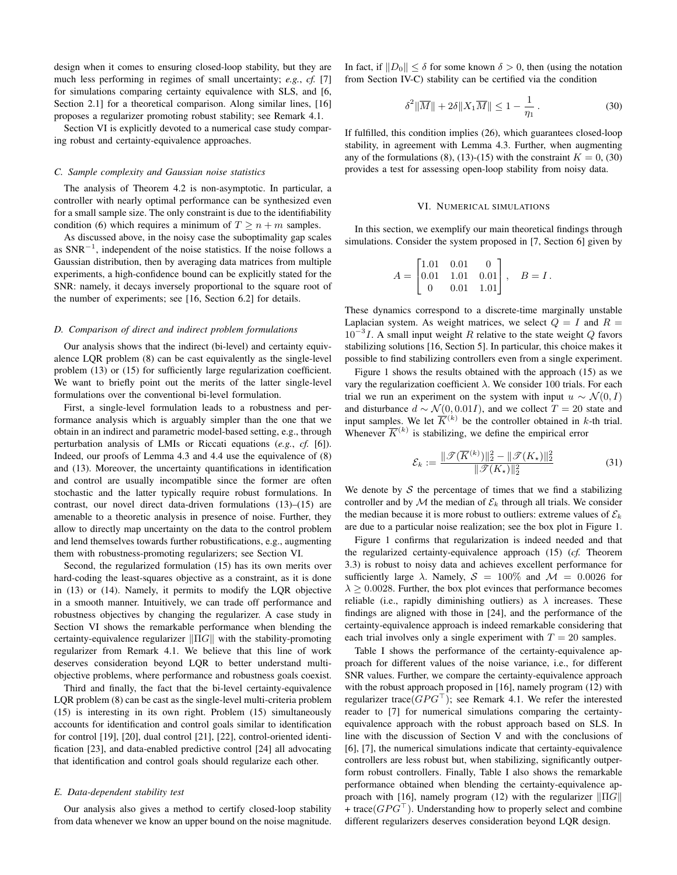design when it comes to ensuring closed-loop stability, but they are much less performing in regimes of small uncertainty; *e.g.*, *cf.* [\[7\]](#page-7-4) for simulations comparing certainty equivalence with SLS, and [\[6,](#page-7-3) Section 2.1] for a theoretical comparison. Along similar lines, [\[16\]](#page-7-11) proposes a regularizer promoting robust stability; see Remark [4.1.](#page-3-8)

Section [VI](#page-5-0) is explicitly devoted to a numerical case study comparing robust and certainty-equivalence approaches.

#### *C. Sample complexity and Gaussian noise statistics*

The analysis of Theorem [4.2](#page-3-6) is non-asymptotic. In particular, a controller with nearly optimal performance can be synthesized even for a small sample size. The only constraint is due to the identifiability condition [\(6\)](#page-1-6) which requires a minimum of  $T \ge n + m$  samples.

As discussed above, in the noisy case the suboptimality gap scales as  $SNR^{-1}$ , independent of the noise statistics. If the noise follows a Gaussian distribution, then by averaging data matrices from multiple experiments, a high-confidence bound can be explicitly stated for the SNR: namely, it decays inversely proportional to the square root of the number of experiments; see [\[16,](#page-7-11) Section 6.2] for details.

#### *D. Comparison of direct and indirect problem formulations*

Our analysis shows that the indirect (bi-level) and certainty equivalence LQR problem [\(8\)](#page-1-8) can be cast equivalently as the single-level problem [\(13\)](#page-2-3) or [\(15\)](#page-2-6) for sufficiently large regularization coefficient. We want to briefly point out the merits of the latter single-level formulations over the conventional bi-level formulation.

First, a single-level formulation leads to a robustness and performance analysis which is arguably simpler than the one that we obtain in an indirect and parametric model-based setting, e.g., through perturbation analysis of LMIs or Riccati equations (*e.g.*, *cf.* [\[6\]](#page-7-3)). Indeed, our proofs of Lemma [4.3](#page-4-5) and [4.4](#page-4-2) use the equivalence of [\(8\)](#page-1-8) and [\(13\)](#page-2-3). Moreover, the uncertainty quantifications in identification and control are usually incompatible since the former are often stochastic and the latter typically require robust formulations. In contrast, our novel direct data-driven formulations [\(13\)](#page-2-3)–[\(15\)](#page-2-6) are amenable to a theoretic analysis in presence of noise. Further, they allow to directly map uncertainty on the data to the control problem and lend themselves towards further robustifications, e.g., augmenting them with robustness-promoting regularizers; see Section [VI.](#page-5-0)

Second, the regularized formulation [\(15\)](#page-2-6) has its own merits over hard-coding the least-squares objective as a constraint, as it is done in [\(13\)](#page-2-3) or [\(14\)](#page-2-4). Namely, it permits to modify the LQR objective in a smooth manner. Intuitively, we can trade off performance and robustness objectives by changing the regularizer. A case study in Section [VI](#page-5-0) shows the remarkable performance when blending the certainty-equivalence regularizer  $\|\Pi G\|$  with the stability-promoting regularizer from Remark [4.1.](#page-3-8) We believe that this line of work deserves consideration beyond LQR to better understand multiobjective problems, where performance and robustness goals coexist.

Third and finally, the fact that the bi-level certainty-equivalence LQR problem [\(8\)](#page-1-8) can be cast as the single-level multi-criteria problem [\(15\)](#page-2-6) is interesting in its own right. Problem [\(15\)](#page-2-6) simultaneously accounts for identification and control goals similar to identification for control [\[19\]](#page-7-13), [\[20\]](#page-7-14), dual control [\[21\]](#page-7-15), [\[22\]](#page-7-16), control-oriented identification [\[23\]](#page-7-17), and data-enabled predictive control [\[24\]](#page-7-18) all advocating that identification and control goals should regularize each other.

#### *E. Data-dependent stability test*

Our analysis also gives a method to certify closed-loop stability from data whenever we know an upper bound on the noise magnitude.

In fact, if  $||D_0|| < \delta$  for some known  $\delta > 0$ , then (using the notation from Section [IV-C\)](#page-4-1) stability can be certified via the condition

<span id="page-5-1"></span>
$$
\delta^2 \|\overline{M}\| + 2\delta \|X_1 \overline{M}\| \le 1 - \frac{1}{\eta_1}.
$$
\n(30)

If fulfilled, this condition implies [\(26\)](#page-4-6), which guarantees closed-loop stability, in agreement with Lemma [4.3.](#page-4-5) Further, when augmenting any of the formulations [\(8\)](#page-1-8), [\(13\)](#page-2-3)-[\(15\)](#page-2-6) with the constraint  $K = 0$ , [\(30\)](#page-5-1) provides a test for assessing open-loop stability from noisy data.

#### VI. NUMERICAL SIMULATIONS

<span id="page-5-0"></span>In this section, we exemplify our main theoretical findings through simulations. Consider the system proposed in [\[7,](#page-7-4) Section 6] given by

$$
A = \begin{bmatrix} 1.01 & 0.01 & 0 \\ 0.01 & 1.01 & 0.01 \\ 0 & 0.01 & 1.01 \end{bmatrix}, \quad B = I.
$$

These dynamics correspond to a discrete-time marginally unstable Laplacian system. As weight matrices, we select  $Q = I$  and  $R =$  $10^{-3}I$ . A small input weight R relative to the state weight Q favors stabilizing solutions [\[16,](#page-7-11) Section 5]. In particular, this choice makes it possible to find stabilizing controllers even from a single experiment.

Figure [1](#page-6-1) shows the results obtained with the approach [\(15\)](#page-2-6) as we vary the regularization coefficient λ. We consider 100 trials. For each trial we run an experiment on the system with input  $u \sim \mathcal{N}(0, I)$ and disturbance  $d \sim \mathcal{N}(0, 0.01I)$ , and we collect  $T = 20$  state and input samples. We let  $\overline{K}^{(k)}$  be the controller obtained in k-th trial. Whenever  $\overline{K}^{(k)}$  is stabilizing, we define the empirical error

<span id="page-5-2"></span>
$$
\mathcal{E}_k := \frac{\|\mathcal{T}(\overline{K}^{(k)})\|_2^2 - \|\mathcal{T}(K_\star)\|_2^2}{\|\mathcal{T}(K_\star)\|_2^2} \tag{31}
$$

We denote by  $S$  the percentage of times that we find a stabilizing controller and by  $M$  the median of  $\mathcal{E}_k$  through all trials. We consider the median because it is more robust to outliers: extreme values of  $\mathcal{E}_k$ are due to a particular noise realization; see the box plot in Figure [1.](#page-6-1)

Figure [1](#page-6-1) confirms that regularization is indeed needed and that the regularized certainty-equivalence approach [\(15\)](#page-2-6) (*cf.* Theorem [3.3\)](#page-2-7) is robust to noisy data and achieves excellent performance for sufficiently large  $\lambda$ . Namely,  $S = 100\%$  and  $\mathcal{M} = 0.0026$  for  $\lambda \geq 0.0028$ . Further, the box plot evinces that performance becomes reliable (i.e., rapidly diminishing outliers) as  $\lambda$  increases. These findings are aligned with those in [\[24\]](#page-7-18), and the performance of the certainty-equivalence approach is indeed remarkable considering that each trial involves only a single experiment with  $T = 20$  samples.

Table [I](#page-6-2) shows the performance of the certainty-equivalence approach for different values of the noise variance, i.e., for different SNR values. Further, we compare the certainty-equivalence approach with the robust approach proposed in [\[16\]](#page-7-11), namely program [\(12\)](#page-2-2) with regularizer trace( $GPG^{\top}$ ); see Remark [4.1.](#page-3-8) We refer the interested reader to [\[7\]](#page-7-4) for numerical simulations comparing the certaintyequivalence approach with the robust approach based on SLS. In line with the discussion of Section [V](#page-4-0) and with the conclusions of [\[6\]](#page-7-3), [\[7\]](#page-7-4), the numerical simulations indicate that certainty-equivalence controllers are less robust but, when stabilizing, significantly outperform robust controllers. Finally, Table [I](#page-6-2) also shows the remarkable performance obtained when blending the certainty-equivalence ap-proach with [\[16\]](#page-7-11), namely program [\(12\)](#page-2-2) with the regularizer  $\| \Pi G \|$ + trace( $GPG^{\top}$ ). Understanding how to properly select and combine different regularizers deserves consideration beyond LQR design.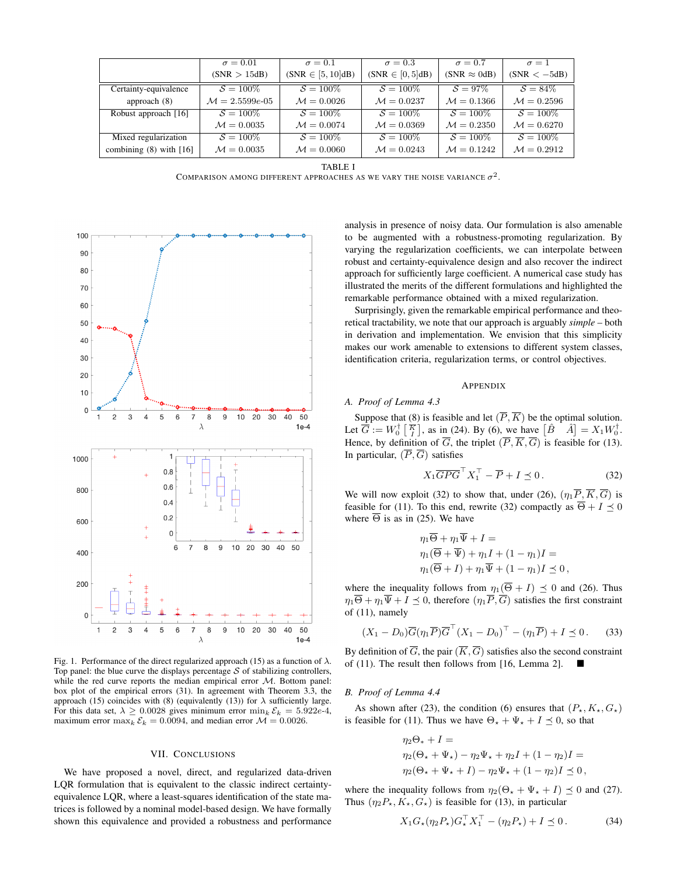|                             | $\sigma = 0.01$            | $\sigma = 0.1$         | $\sigma = 0.3$         | $\sigma = 0.7$         | $\sigma=1$     |
|-----------------------------|----------------------------|------------------------|------------------------|------------------------|----------------|
|                             | (SNR > 15dB)               | $(SNR \in [5, 10]dB)$  | $(SNR \in [0, 5]dB)$   | $(SNR \approx 0dB)$    | $(SNR < -5dB)$ |
| Certainty-equivalence       | $S = 100\%$                | $S = 100\%$            | $S = 100\%$            | $S = 97\%$             | $S = 84\%$     |
| approach $(8)$              | $\mathcal{M} = 2.5599e-05$ | $\mathcal{M} = 0.0026$ | $M = 0.0237$           | $\mathcal{M} = 0.1366$ | $M = 0.2596$   |
| Robust approach [16]        | $S = 100\%$                | $S=100\%$              | $S = 100\%$            | $S = 100\%$            | $S = 100\%$    |
|                             | $M = 0.0035$               | $M = 0.0074$           | $\mathcal{M} = 0.0369$ | $\mathcal{M} = 0.2350$ | $M = 0.6270$   |
| Mixed regularization        | $S = 100\%$                | $S = 100\%$            | $S = 100\%$            | $S=100\%$              | $S = 100\%$    |
| combining $(8)$ with $[16]$ | $M = 0.0035$               | $M = 0.0060$           | $M = 0.0243$           | $M = 0.1242$           | $M = 0.2912$   |

TABLE I

COMPARISON AMONG DIFFERENT APPROACHES AS WE VARY THE NOISE VARIANCE  $\sigma^2$ .

<span id="page-6-2"></span>

<span id="page-6-1"></span>Fig. 1. Performance of the direct regularized approach [\(15\)](#page-2-6) as a function of  $\lambda$ . Top panel: the blue curve the displays percentage  $S$  of stabilizing controllers, while the red curve reports the median empirical error  $M$ . Bottom panel: box plot of the empirical errors [\(31\)](#page-5-2). In agreement with Theorem [3.3,](#page-2-7) the approach [\(15\)](#page-2-6) coincides with [\(8\)](#page-1-8) (equivalently [\(13\)](#page-2-3)) for  $\lambda$  sufficiently large. For this data set,  $\lambda \geq 0.0028$  gives minimum error  $\min_k \mathcal{E}_k = 5.922e-4$ , maximum error  $\max_k \mathcal{E}_k = 0.0094$ , and median error  $\mathcal{M} = 0.0026$ .

#### VII. CONCLUSIONS

<span id="page-6-0"></span>We have proposed a novel, direct, and regularized data-driven LQR formulation that is equivalent to the classic indirect certaintyequivalence LQR, where a least-squares identification of the state matrices is followed by a nominal model-based design. We have formally shown this equivalence and provided a robustness and performance

analysis in presence of noisy data. Our formulation is also amenable to be augmented with a robustness-promoting regularization. By varying the regularization coefficients, we can interpolate between robust and certainty-equivalence design and also recover the indirect approach for sufficiently large coefficient. A numerical case study has illustrated the merits of the different formulations and highlighted the remarkable performance obtained with a mixed regularization.

Surprisingly, given the remarkable empirical performance and theoretical tractability, we note that our approach is arguably *simple* – both in derivation and implementation. We envision that this simplicity makes our work amenable to extensions to different system classes, identification criteria, regularization terms, or control objectives.

#### APPENDIX

## *A. Proof of Lemma [4.3](#page-4-5)*

Suppose that [\(8\)](#page-1-8) is feasible and let  $(\overline{P}, \overline{K})$  be the optimal solution. Let  $\overline{G} := W_0^{\dagger} \left[ \overline{K} \right]$ , as in [\(24\)](#page-4-8). By [\(6\)](#page-1-6), we have  $\left[ \hat{B} \right] = X_1 W_0^{\dagger}$ . Hence, by definition of  $\overline{G}$ , the triplet  $(\overline{P}, \overline{K}, \overline{G})$  is feasible for [\(13\)](#page-2-3). In particular,  $(\overline{P}, \overline{G})$  satisfies

<span id="page-6-3"></span>
$$
X_1 \overline{G} \overline{P} \overline{G}^\top X_1^\top - \overline{P} + I \preceq 0. \tag{32}
$$

We will now exploit [\(32\)](#page-6-3) to show that, under [\(26\)](#page-4-6),  $(\eta_1 \overline{P}, \overline{K}, \overline{G})$  is feasible for [\(11\)](#page-2-1). To this end, rewrite [\(32\)](#page-6-3) compactly as  $\overline{\Theta} + I \preceq 0$ where  $\overline{\Theta}$  is as in [\(25\)](#page-4-9). We have

$$
\eta_1 \overline{\Theta} + \eta_1 \overline{\Psi} + I =
$$
  
\n
$$
\eta_1(\overline{\Theta} + \overline{\Psi}) + \eta_1 I + (1 - \eta_1)I =
$$
  
\n
$$
\eta_1(\overline{\Theta} + I) + \eta_1 \overline{\Psi} + (1 - \eta_1)I \preceq 0,
$$

where the inequality follows from  $\eta_1(\overline{\Theta} + I) \preceq 0$  and [\(26\)](#page-4-6). Thus  $\eta_1 \overline{\Theta} + \eta_1 \overline{\Psi} + I \leq 0$ , therefore  $(\eta_1 \overline{P}, \overline{G})$  satisfies the first constraint of [\(11\)](#page-2-1), namely

$$
(X_1 - D_0)\overline{G}(\eta_1 \overline{P}) \overline{G}^\top (X_1 - D_0)^\top - (\eta_1 \overline{P}) + I \preceq 0. \tag{33}
$$

By definition of  $\overline{G}$ , the pair  $(\overline{K}, \overline{G})$  satisfies also the second constraint of [\(11\)](#page-2-1). The result then follows from [\[16,](#page-7-11) Lemma 2].

#### *B. Proof of Lemma [4.4](#page-4-2)*

As shown after [\(23\)](#page-4-10), the condition [\(6\)](#page-1-6) ensures that  $(P_*, K_*, G_*)$ is feasible for [\(11\)](#page-2-1). Thus we have  $\Theta_{\star} + \Psi_{\star} + I \preceq 0$ , so that

$$
\eta_2 \Theta_* + I =
$$
  
\n
$$
\eta_2(\Theta_* + \Psi_*) - \eta_2 \Psi_* + \eta_2 I + (1 - \eta_2)I =
$$
  
\n
$$
\eta_2(\Theta_* + \Psi_* + I) - \eta_2 \Psi_* + (1 - \eta_2)I \preceq 0,
$$

where the inequality follows from  $\eta_2(\Theta_\star + \Psi_\star + I) \preceq 0$  and [\(27\)](#page-4-3). Thus  $(\eta_2 P_{\star}, K_{\star}, G_{\star})$  is feasible for [\(13\)](#page-2-3), in particular

$$
X_1 G_{\star} (\eta_2 P_{\star}) G_{\star}^{\top} X_1^{\top} - (\eta_2 P_{\star}) + I \preceq 0. \tag{34}
$$